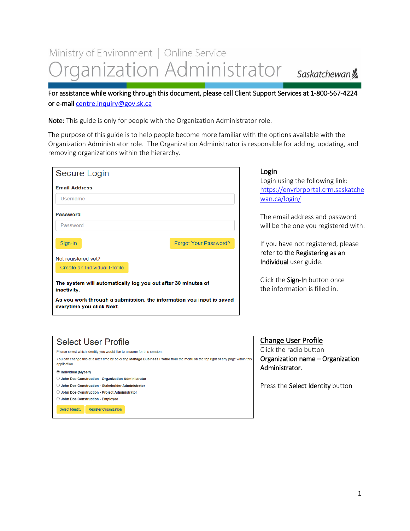# Ministry of Environment | Online Service rganization Administrator

Saskatchewan<sup>y</sup>

For assistance while working through this document, please call Client Support Services at 1-800-567-4224 or e-mail [centre.inquiry@gov.sk.ca](mailto:centre.inquiry@gov.sk.ca)

Note: This guide is only for people with the Organization Administrator role.

The purpose of this guide is to help people become more familiar with the options available with the Organization Administrator role. The Organization Administrator is responsible for adding, updating, and removing organizations within the hierarchy.

#### Login

Login using the following link: [https://envrbrportal.crm.saskatche](https://envrbrportal.crm.saskatchewan.ca/login/) [wan.ca/login/](https://envrbrportal.crm.saskatchewan.ca/login/)

The email address and password will be the one you registered with.

If you have not registered, please refer to the Registering as an Individual user guide.

Click the Sign-In button once the information is filled in.

## **Select User Profile**

Please select which identity you would like to assume for this session.

You can change this at a later time by selecting Manage Business Profile from the menu on the top right of any page within this application.

#### **O** Individual (Myself)

- $\bigcirc$  John Doe Construction Organization Administrator
- O John Doe Construction Stakeholder Administrator
- O John Doe Construction Project Administrator
- John Doe Construction Employee

Select Identity Register Organization

### Change User Profile

Click the radio button Organization name – Organization Administrator.

Press the Select Identity button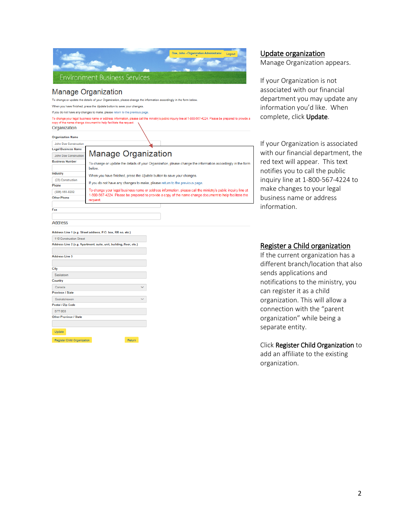|                            | Doe, John - Organization Administrator<br>Logout<br><b>Environment Business Services</b>                                                                                                                                            |  |
|----------------------------|-------------------------------------------------------------------------------------------------------------------------------------------------------------------------------------------------------------------------------------|--|
|                            | <b>Manage Organization</b>                                                                                                                                                                                                          |  |
|                            | To change or update the details of your Organization, please change the information accordingly in the form below.                                                                                                                  |  |
|                            | When you have finished, press the Update button to save your changes.                                                                                                                                                               |  |
|                            | If you do not have any changes to make, please return to the previous page.                                                                                                                                                         |  |
| Organization               | To change your legal business name or address information, please call the ministry's public inquiry line at 1-800-567-4224. Please be prepared to provide a<br>copy of the name change document to help facilitate the request.    |  |
| <b>Organization Name</b>   |                                                                                                                                                                                                                                     |  |
| John Doe Construction      |                                                                                                                                                                                                                                     |  |
| <b>Legal Business Name</b> |                                                                                                                                                                                                                                     |  |
| John Doe Construction      | <b>Manage Organization</b>                                                                                                                                                                                                          |  |
| <b>Business Number</b>     | To change or update the details of your Organization, please change the information accordingly in the form<br>below                                                                                                                |  |
| Industry                   | When you have finished, press the Update button to save your changes.                                                                                                                                                               |  |
| (23) Construction          |                                                                                                                                                                                                                                     |  |
| Phone                      | If you do not have any changes to make, please return to the previous page.                                                                                                                                                         |  |
| (306) 555-0202             | To change your legal business name or address information, please call the ministry's public inquiry line at<br>1-800-567-4224. Please be prepared to provide a copy of the name change document to help facilitate the<br>request. |  |
| Other Phone                |                                                                                                                                                                                                                                     |  |
| Fax                        |                                                                                                                                                                                                                                     |  |

Update organization

Manage Organization appears.

If your Organization is not associated with our financial department you may update any information you'd like. When complete, click Update.

If your Organization is associated with our financial department, the red text will appear. This text notifies you to call the public inquiry line at 1-800-567-4224 to make changes to your legal business name or address information.

#### Address

Address Line 1 (e.g. Street address, P.O. box, RR no, etc.) 110 Construction Street Address Line 2 (e.g. Apartment, suite, unit, building, floor, etc.)

| <b>Address Line 3</b>      |        |  |
|----------------------------|--------|--|
|                            |        |  |
| City                       |        |  |
| Saskatoon                  |        |  |
| Country                    |        |  |
| Canada                     |        |  |
| <b>Province / State</b>    |        |  |
| Saskatchewan               |        |  |
| Postal / Zip Code          |        |  |
| <b>S7T 0E8</b>             |        |  |
| Other Province / State     |        |  |
|                            |        |  |
| Update                     |        |  |
| Register Child Omanization | Return |  |

#### Register a Child organization

If the current organization has a different branch/location that also sends applications and notifications to the ministry, you can register it as a child organization. This will allow a connection with the "parent organization" while being a separate entity.

#### Click Register Child Organization to

add an affiliate to the existing organization.